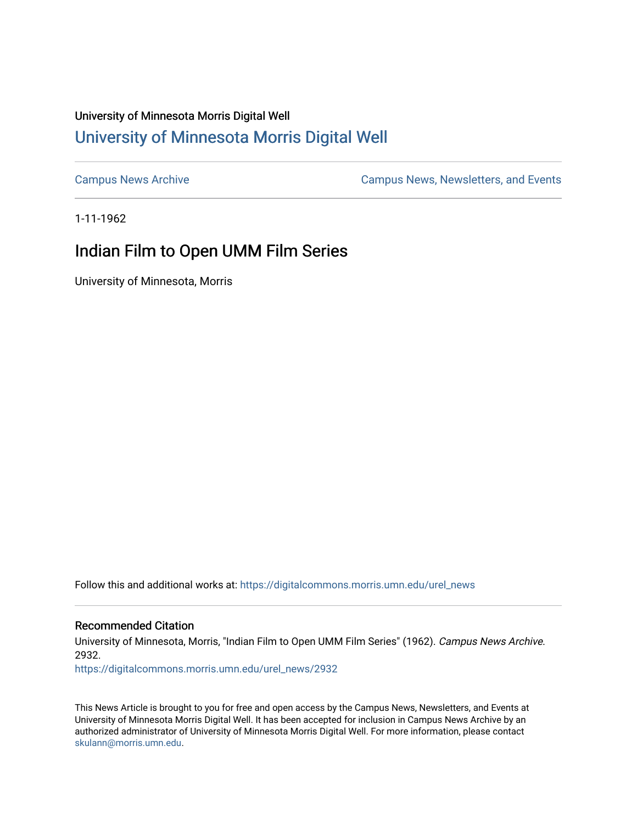## University of Minnesota Morris Digital Well [University of Minnesota Morris Digital Well](https://digitalcommons.morris.umn.edu/)

[Campus News Archive](https://digitalcommons.morris.umn.edu/urel_news) [Campus News, Newsletters, and Events](https://digitalcommons.morris.umn.edu/externalrel) 

1-11-1962

## Indian Film to Open UMM Film Series

University of Minnesota, Morris

Follow this and additional works at: [https://digitalcommons.morris.umn.edu/urel\\_news](https://digitalcommons.morris.umn.edu/urel_news?utm_source=digitalcommons.morris.umn.edu%2Furel_news%2F2932&utm_medium=PDF&utm_campaign=PDFCoverPages) 

## Recommended Citation

University of Minnesota, Morris, "Indian Film to Open UMM Film Series" (1962). Campus News Archive. 2932.

[https://digitalcommons.morris.umn.edu/urel\\_news/2932](https://digitalcommons.morris.umn.edu/urel_news/2932?utm_source=digitalcommons.morris.umn.edu%2Furel_news%2F2932&utm_medium=PDF&utm_campaign=PDFCoverPages) 

This News Article is brought to you for free and open access by the Campus News, Newsletters, and Events at University of Minnesota Morris Digital Well. It has been accepted for inclusion in Campus News Archive by an authorized administrator of University of Minnesota Morris Digital Well. For more information, please contact [skulann@morris.umn.edu.](mailto:skulann@morris.umn.edu)